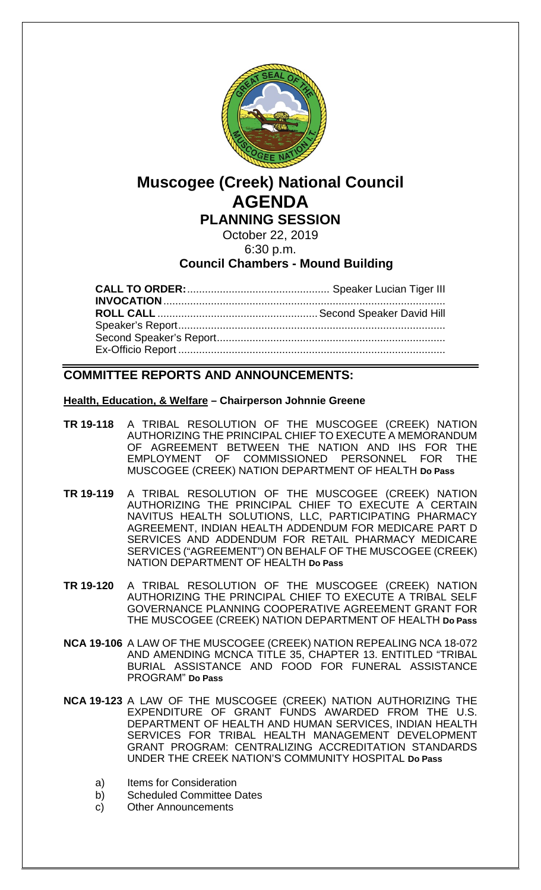

# **Muscogee (Creek) National Council AGENDA**

**PLANNING SESSION**

October 22, 2019

6:30 p.m.

**Council Chambers - Mound Building**

**CALL TO ORDER:**................................................ Speaker Lucian Tiger III **INVOCATION**............................................................................................... **ROLL CALL** ......................................................Second Speaker David Hill Speaker's Report.......................................................................................... Second Speaker's Report............................................................................. Ex-Officio Report ..........................................................................................

## **COMMITTEE REPORTS AND ANNOUNCEMENTS:**

### **Health, Education, & Welfare – Chairperson Johnnie Greene**

- **TR 19-118** A TRIBAL RESOLUTION OF THE MUSCOGEE (CREEK) NATION AUTHORIZING THE PRINCIPAL CHIEF TO EXECUTE A MEMORANDUM OF AGREEMENT BETWEEN THE NATION AND IHS FOR THE EMPLOYMENT OF COMMISSIONED PERSONNEL FOR THE COMMISSIONED PERSONNEL FOR THE MUSCOGEE (CREEK) NATION DEPARTMENT OF HEALTH **Do Pass**
- **TR 19-119** A TRIBAL RESOLUTION OF THE MUSCOGEE (CREEK) NATION AUTHORIZING THE PRINCIPAL CHIEF TO EXECUTE A CERTAIN NAVITUS HEALTH SOLUTIONS, LLC, PARTICIPATING PHARMACY AGREEMENT, INDIAN HEALTH ADDENDUM FOR MEDICARE PART D SERVICES AND ADDENDUM FOR RETAIL PHARMACY MEDICARE SERVICES ("AGREEMENT") ON BEHALF OF THE MUSCOGEE (CREEK) NATION DEPARTMENT OF HEALTH **Do Pass**
- **TR 19-120** A TRIBAL RESOLUTION OF THE MUSCOGEE (CREEK) NATION AUTHORIZING THE PRINCIPAL CHIEF TO EXECUTE A TRIBAL SELF GOVERNANCE PLANNING COOPERATIVE AGREEMENT GRANT FOR THE MUSCOGEE (CREEK) NATION DEPARTMENT OF HEALTH **Do Pass**
- **NCA 19-106** A LAW OF THE MUSCOGEE (CREEK) NATION REPEALING NCA 18-072 AND AMENDING MCNCA TITLE 35, CHAPTER 13. ENTITLED "TRIBAL BURIAL ASSISTANCE AND FOOD FOR FUNERAL ASSISTANCE PROGRAM" **Do Pass**
- **NCA 19-123** A LAW OF THE MUSCOGEE (CREEK) NATION AUTHORIZING THE EXPENDITURE OF GRANT FUNDS AWARDED FROM THE U.S. DEPARTMENT OF HEALTH AND HUMAN SERVICES, INDIAN HEALTH SERVICES FOR TRIBAL HEALTH MANAGEMENT DEVELOPMENT GRANT PROGRAM: CENTRALIZING ACCREDITATION STANDARDS UNDER THE CREEK NATION'S COMMUNITY HOSPITAL **Do Pass**
	- a) Items for Consideration
	- b) Scheduled Committee Dates
	- c) Other Announcements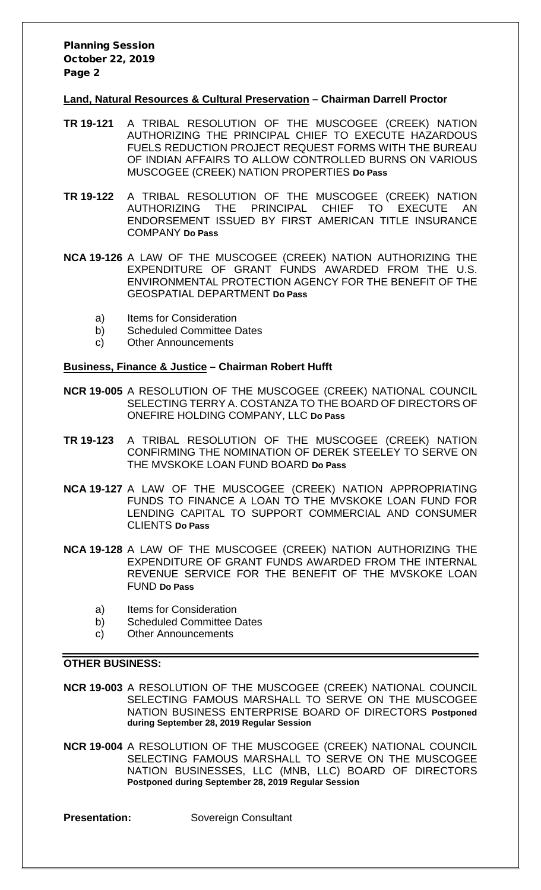Planning Session October 22, 2019 Page 2

#### **Land, Natural Resources & Cultural Preservation – Chairman Darrell Proctor**

- **TR 19-121** A TRIBAL RESOLUTION OF THE MUSCOGEE (CREEK) NATION AUTHORIZING THE PRINCIPAL CHIEF TO EXECUTE HAZARDOUS FUELS REDUCTION PROJECT REQUEST FORMS WITH THE BUREAU OF INDIAN AFFAIRS TO ALLOW CONTROLLED BURNS ON VARIOUS MUSCOGEE (CREEK) NATION PROPERTIES **Do Pass**
- **TR 19-122** A TRIBAL RESOLUTION OF THE MUSCOGEE (CREEK) NATION AUTHORIZING THE PRINCIPAL CHIEF TO EXECUTE AN ENDORSEMENT ISSUED BY FIRST AMERICAN TITLE INSURANCE COMPANY **Do Pass**
- **NCA 19-126** A LAW OF THE MUSCOGEE (CREEK) NATION AUTHORIZING THE EXPENDITURE OF GRANT FUNDS AWARDED FROM THE U.S. ENVIRONMENTAL PROTECTION AGENCY FOR THE BENEFIT OF THE GEOSPATIAL DEPARTMENT **Do Pass**
	- a) Items for Consideration
	- b) Scheduled Committee Dates
	- c) Other Announcements

#### **Business, Finance & Justice – Chairman Robert Hufft**

- **NCR 19-005** A RESOLUTION OF THE MUSCOGEE (CREEK) NATIONAL COUNCIL SELECTING TERRY A. COSTANZA TO THE BOARD OF DIRECTORS OF ONEFIRE HOLDING COMPANY, LLC **Do Pass**
- **TR 19-123** A TRIBAL RESOLUTION OF THE MUSCOGEE (CREEK) NATION CONFIRMING THE NOMINATION OF DEREK STEELEY TO SERVE ON THE MVSKOKE LOAN FUND BOARD **Do Pass**
- **NCA 19-127** A LAW OF THE MUSCOGEE (CREEK) NATION APPROPRIATING FUNDS TO FINANCE A LOAN TO THE MVSKOKE LOAN FUND FOR LENDING CAPITAL TO SUPPORT COMMERCIAL AND CONSUMER CLIENTS **Do Pass**
- **NCA 19-128** A LAW OF THE MUSCOGEE (CREEK) NATION AUTHORIZING THE EXPENDITURE OF GRANT FUNDS AWARDED FROM THE INTERNAL REVENUE SERVICE FOR THE BENEFIT OF THE MVSKOKE LOAN FUND **Do Pass**
	- a) Items for Consideration
	- b) Scheduled Committee Dates
	- c) Other Announcements

#### **OTHER BUSINESS:**

- **NCR 19-003** A RESOLUTION OF THE MUSCOGEE (CREEK) NATIONAL COUNCIL SELECTING FAMOUS MARSHALL TO SERVE ON THE MUSCOGEE NATION BUSINESS ENTERPRISE BOARD OF DIRECTORS **Postponed during September 28, 2019 Regular Session**
- **NCR 19-004** A RESOLUTION OF THE MUSCOGEE (CREEK) NATIONAL COUNCIL SELECTING FAMOUS MARSHALL TO SERVE ON THE MUSCOGEE NATION BUSINESSES, LLC (MNB, LLC) BOARD OF DIRECTORS **Postponed during September 28, 2019 Regular Session**

**Presentation:** Sovereign Consultant